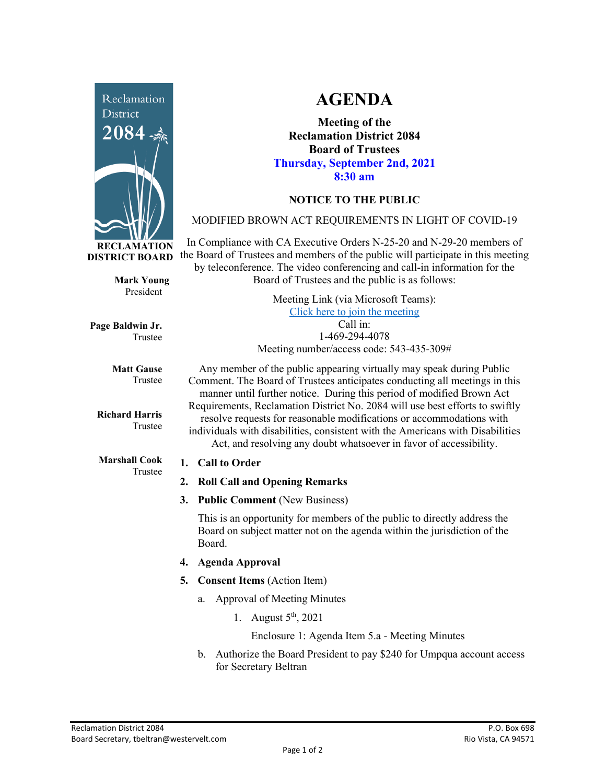

**Mark Young** President

Trustee

Trustee

Trustee

**Matt Gause** Trustee

**Richard Harris**

**Marshall Cook**

**Page Baldwin Jr.**

**AGENDA**

**Meeting of the Reclamation District 2084 Board of Trustees Thursday, September 2nd, 2021 8:30 am**

# **NOTICE TO THE PUBLIC**

## MODIFIED BROWN ACT REQUIREMENTS IN LIGHT OF COVID-19

In Compliance with CA Executive Orders N-25-20 and N-29-20 members of the Board of Trustees and members of the public will participate in this meeting by teleconference. The video conferencing and call-in information for the Board of Trustees and the public is as follows:

> Meeting Link (via Microsoft Teams): [Click here to join the meeting](https://teams.microsoft.com/l/meetup-join/19%3ameeting_Y2UyNWRiYzQtYWY2Mi00MTlhLWI0NDQtMjUzYzk0OWU0NGFi%40thread.v2/0?context=%7b%22Tid%22%3a%22f9038203-c87c-4f0e-b326-970a381acd40%22%2c%22Oid%22%3a%22b6a515a8-4d0a-410e-b81a-1dc60ae8c01d%22%7d) Call in: 1-469-294-4078 Meeting number/access code: 543-435-309#

Any member of the public appearing virtually may speak during Public Comment. The Board of Trustees anticipates conducting all meetings in this manner until further notice. During this period of modified Brown Act Requirements, Reclamation District No. 2084 will use best efforts to swiftly resolve requests for reasonable modifications or accommodations with individuals with disabilities, consistent with the Americans with Disabilities Act, and resolving any doubt whatsoever in favor of accessibility.

#### **1. Call to Order**

- **2. Roll Call and Opening Remarks**
- **3. Public Comment** (New Business)

This is an opportunity for members of the public to directly address the Board on subject matter not on the agenda within the jurisdiction of the Board.

- **4. Agenda Approval**
- **5. Consent Items** (Action Item)
	- a. Approval of Meeting Minutes
		- 1. August  $5^{th}$ , 2021

Enclosure 1: Agenda Item 5.a - Meeting Minutes

b. Authorize the Board President to pay \$240 for Umpqua account access for Secretary Beltran